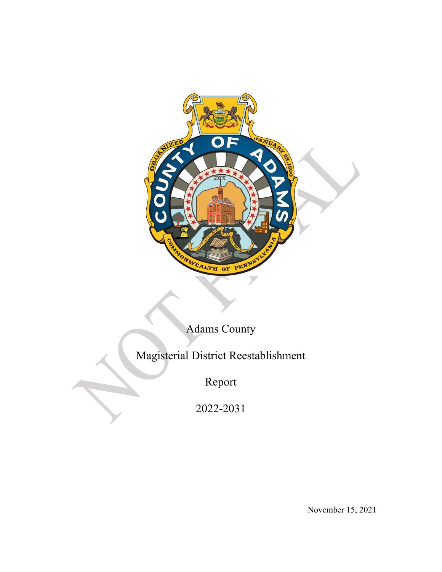

# Adams County

Magisterial District Reestablishment

Report

2022-2031

November 15, 2021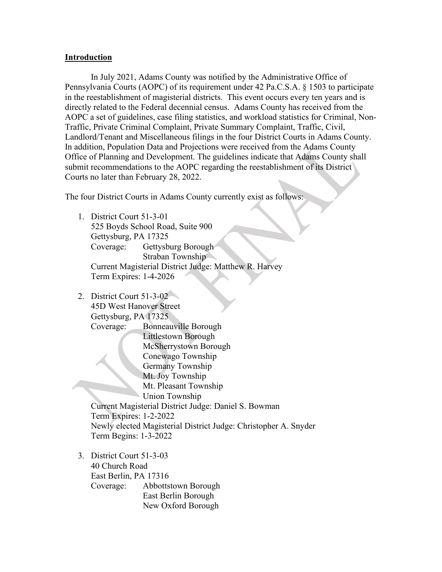#### **Introduction**

In July 2021, Adams County was notified by the Administrative Office of Pennsylvania Courts (AOPC) of its requirement under 42 Pa.C.S.A. § 1503 to participate in the reestablishment of magisterial districts. This event occurs every ten years and is directly related to the Federal decennial census. Adams County has received from the AOPC a set of guidelines, case filing statistics, and workload statistics for Criminal, Non-Traffic, Private Criminal Complaint, Private Summary Complaint, Traffic, Civil, Landlord/Tenant and Miscellaneous filings in the four District Courts in Adams County. In addition, Population Data and Projections were received from the Adams County Office of Planning and Development. The guidelines indicate that Adams County shall submit recommendations to the AOPC regarding the reestablishment of its District Courts no later than February 28, 2022.

The four District Courts in Adams County currently exist as follows:

- 1. District Court 51-3-01 525 Boyds School Road, Suite 900 Gettysburg, PA 17325 Coverage: Gettysburg Borough Straban Township Current Magisterial District Judge: Matthew R. Harvey Term Expires: 1-4-2026
- 2. District Court 51-3-02 45D West Hanover Street Gettysburg, PA 17325 Coverage: Bonneauville Borough Littlestown Borough McSherrystown Borough Conewago Township Germany Township Mt. Joy Township Mt. Pleasant Township Union Township Current Magisterial District Judge: Daniel S. Bowman Term Expires: 1-2-2022 Newly elected Magisterial District Judge: Christopher A. Snyder Term Begins: 1-3-2022
- 3. District Court 51-3-03 40 Church Road East Berlin, PA 17316 Coverage: Abbottstown Borough East Berlin Borough New Oxford Borough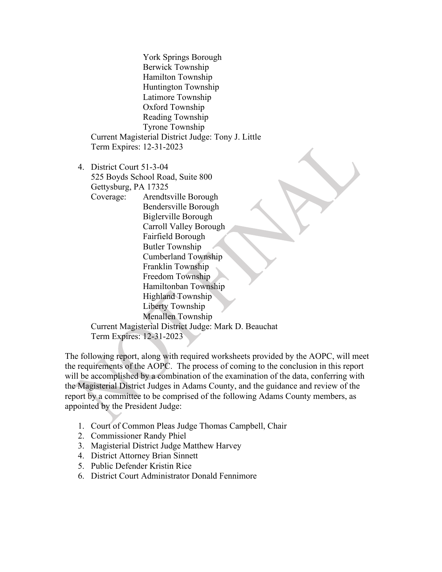York Springs Borough Berwick Township Hamilton Township Huntington Township Latimore Township Oxford Township Reading Township Tyrone Township Current Magisterial District Judge: Tony J. Little Term Expires: 12-31-2023

4. District Court 51-3-04 525 Boyds School Road, Suite 800 Gettysburg, PA 17325 Coverage: Arendtsville Borough

Bendersville Borough Biglerville Borough Carroll Valley Borough Fairfield Borough Butler Township Cumberland Township Franklin Township Freedom Township Hamiltonban Township Highland Township Liberty Township Menallen Township Current Magisterial District Judge: Mark D. Beauchat

Term Expires: 12-31-2023

The following report, along with required worksheets provided by the AOPC, will meet the requirements of the AOPC. The process of coming to the conclusion in this report will be accomplished by a combination of the examination of the data, conferring with the Magisterial District Judges in Adams County, and the guidance and review of the report by a committee to be comprised of the following Adams County members, as appointed by the President Judge:

- 1. Court of Common Pleas Judge Thomas Campbell, Chair
- 2. Commissioner Randy Phiel
- 3. Magisterial District Judge Matthew Harvey
- 4. District Attorney Brian Sinnett
- 5. Public Defender Kristin Rice
- 6. District Court Administrator Donald Fennimore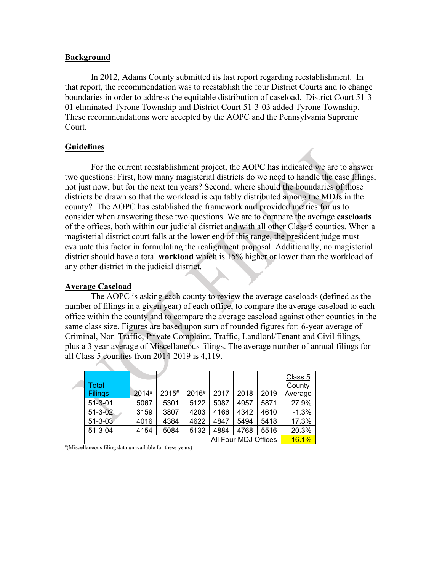#### **Background**

In 2012, Adams County submitted its last report regarding reestablishment. In that report, the recommendation was to reestablish the four District Courts and to change boundaries in order to address the equitable distribution of caseload. District Court 51-3- 01 eliminated Tyrone Township and District Court 51-3-03 added Tyrone Township. These recommendations were accepted by the AOPC and the Pennsylvania Supreme Court.

## **Guidelines**

For the current reestablishment project, the AOPC has indicated we are to answer two questions: First, how many magisterial districts do we need to handle the case filings, not just now, but for the next ten years? Second, where should the boundaries of those districts be drawn so that the workload is equitably distributed among the MDJs in the county? The AOPC has established the framework and provided metrics for us to consider when answering these two questions. We are to compare the average **caseloads** of the offices, both within our judicial district and with all other Class 5 counties. When a magisterial district court falls at the lower end of this range, the president judge must evaluate this factor in formulating the realignment proposal. Additionally, no magisterial district should have a total **workload** which is 15% higher or lower than the workload of any other district in the judicial district.

#### **Average Caseload**

The AOPC is asking each county to review the average caseloads (defined as the number of filings in a given year) of each office, to compare the average caseload to each office within the county and to compare the average caseload against other counties in the same class size. Figures are based upon sum of rounded figures for: 6-year average of Criminal, Non-Traffic, Private Complaint, Traffic, Landlord/Tenant and Civil filings, plus a 3 year average of Miscellaneous filings. The average number of annual filings for all Class 5 counties from 2014-2019 is 4,119.

| Total<br><b>Filings</b> | 2014# | 2015# | 2016# | 2017 | 2018 | 2019 | Class 5<br>County<br>Average |
|-------------------------|-------|-------|-------|------|------|------|------------------------------|
| $51 - 3 - 01$           | 5067  | 5301  | 5122  | 5087 | 4957 | 5871 | 27.9%                        |
| $51 - 3 - 02$           | 3159  | 3807  | 4203  | 4166 | 4342 | 4610 | $-1.3%$                      |
| $51 - 3 - 03$           | 4016  | 4384  | 4622  | 4847 | 5494 | 5418 | 17.3%                        |
| $51 - 3 - 04$           | 4154  | 5084  | 5132  | 4884 | 4768 | 5516 | 20.3%                        |
| All Four MDJ Offices    |       |       |       |      |      |      | <b>16.1%</b>                 |

# (Miscellaneous filing data unavailable for these years)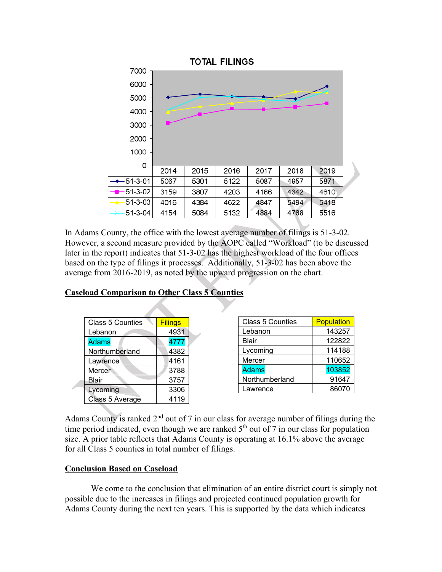

In Adams County, the office with the lowest average number of filings is 51-3-02. However, a second measure provided by the AOPC called "Workload" (to be discussed later in the report) indicates that 51-3-02 has the highest workload of the four offices based on the type of filings it processes. Additionally, 51-3-02 has been above the average from 2016-2019, as noted by the upward progression on the chart.

| <b>Class 5 Counties</b> | <b>Filings</b> |  |
|-------------------------|----------------|--|
| Lebanon                 | 4931           |  |
| <b>Adams</b>            | 4777           |  |
| Northumberland          | 4382           |  |
| Lawrence                | 4161           |  |
| Mercer                  | 3788           |  |
| Blair                   | 3757           |  |
| Lycoming                | 3306           |  |
| Class 5 Average         | 4119           |  |

| <b>Caseload Comparison to Other Class 5 Counties</b> |  |  |
|------------------------------------------------------|--|--|
|                                                      |  |  |

| <b>Class 5 Counties</b> | Population |  |  |
|-------------------------|------------|--|--|
| Lebanon                 | 143257     |  |  |
| <b>Blair</b>            | 122822     |  |  |
| Lycoming                | 114188     |  |  |
| Mercer                  | 110652     |  |  |
| <b>Adams</b>            | 103852     |  |  |
| Northumberland          | 91647      |  |  |
| Lawrence                | 86070      |  |  |

Adams County is ranked  $2<sup>nd</sup>$  out of 7 in our class for average number of filings during the time period indicated, even though we are ranked  $5<sup>th</sup>$  out of 7 in our class for population size. A prior table reflects that Adams County is operating at 16.1% above the average for all Class 5 counties in total number of filings.

## **Conclusion Based on Caseload**

We come to the conclusion that elimination of an entire district court is simply not possible due to the increases in filings and projected continued population growth for Adams County during the next ten years. This is supported by the data which indicates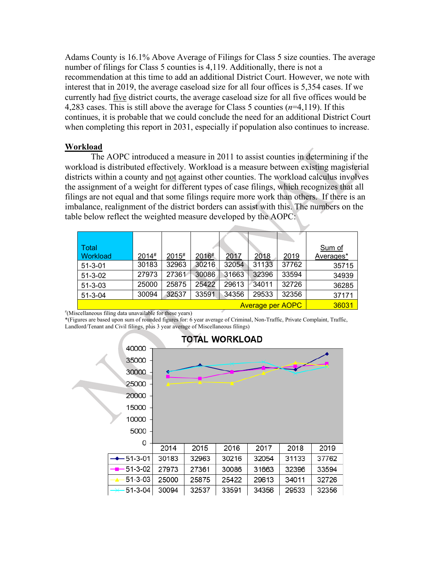Adams County is 16.1% Above Average of Filings for Class 5 size counties. The average number of filings for Class 5 counties is 4,119. Additionally, there is not a recommendation at this time to add an additional District Court. However, we note with interest that in 2019, the average caseload size for all four offices is 5,354 cases. If we currently had five district courts, the average caseload size for all five offices would be 4,283 cases. This is still above the average for Class 5 counties (*n*=4,119). If this continues, it is probable that we could conclude the need for an additional District Court when completing this report in 2031, especially if population also continues to increase.

#### **Workload**

The AOPC introduced a measure in 2011 to assist counties in determining if the workload is distributed effectively. Workload is a measure between existing magisterial districts within a county and not against other counties. The workload calculus involves the assignment of a weight for different types of case filings, which recognizes that all filings are not equal and that some filings require more work than others. If there is an imbalance, realignment of the district borders can assist with this. The numbers on the table below reflect the weighted measure developed by the AOPC:

| Total         |       |       |       |       |       |       | Sum of    |
|---------------|-------|-------|-------|-------|-------|-------|-----------|
| Workload      | 2014# | 2015# | 2016# | 2017  | 2018  | 2019  | Averages* |
| $51 - 3 - 01$ | 30183 | 32963 | 30216 | 32054 | 31133 | 37762 | 35715     |
| $51 - 3 - 02$ | 27973 | 27361 | 30086 | 31663 | 32396 | 33594 | 34939     |
| $51 - 3 - 03$ | 25000 | 25875 | 25422 | 29613 | 34011 | 32726 | 36285     |
| $51 - 3 - 04$ | 30094 | 32537 | 33591 | 34356 | 29533 | 32356 | 37171     |
|               | 36031 |       |       |       |       |       |           |

# (Miscellaneous filing data unavailable for these years)

\*(Figures are based upon sum of rounded figures for: 6 year average of Criminal, Non-Traffic, Private Complaint, Traffic, Landlord/Tenant and Civil filings, plus 3 year average of Miscellaneous filings)

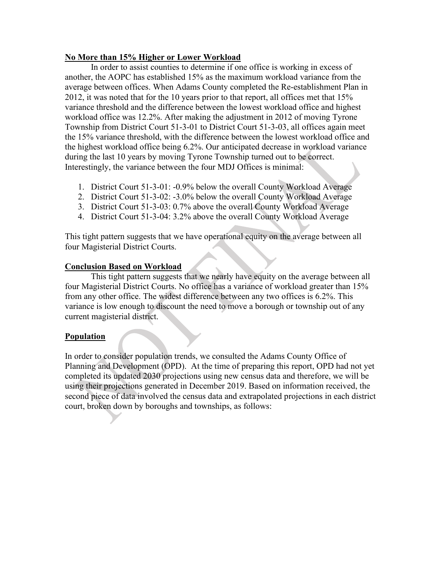## **No More than 15% Higher or Lower Workload**

In order to assist counties to determine if one office is working in excess of another, the AOPC has established 15% as the maximum workload variance from the average between offices. When Adams County completed the Re-establishment Plan in 2012, it was noted that for the 10 years prior to that report, all offices met that 15% variance threshold and the difference between the lowest workload office and highest workload office was 12.2%. After making the adjustment in 2012 of moving Tyrone Township from District Court 51-3-01 to District Court 51-3-03, all offices again meet the 15% variance threshold, with the difference between the lowest workload office and the highest workload office being 6.2%. Our anticipated decrease in workload variance during the last 10 years by moving Tyrone Township turned out to be correct. Interestingly, the variance between the four MDJ Offices is minimal:

- 1. District Court 51-3-01: -0.9% below the overall County Workload Average
- 2. District Court 51-3-02: -3.0% below the overall County Workload Average
- 3. District Court 51-3-03: 0.7% above the overall County Workload Average
- 4. District Court 51-3-04: 3.2% above the overall County Workload Average

This tight pattern suggests that we have operational equity on the average between all four Magisterial District Courts.

## **Conclusion Based on Workload**

This tight pattern suggests that we nearly have equity on the average between all four Magisterial District Courts. No office has a variance of workload greater than 15% from any other office. The widest difference between any two offices is 6.2%. This variance is low enough to discount the need to move a borough or township out of any current magisterial district.

## **Population**

In order to consider population trends, we consulted the Adams County Office of Planning and Development (OPD). At the time of preparing this report, OPD had not yet completed its updated 2030 projections using new census data and therefore, we will be using their projections generated in December 2019. Based on information received, the second piece of data involved the census data and extrapolated projections in each district court, broken down by boroughs and townships, as follows: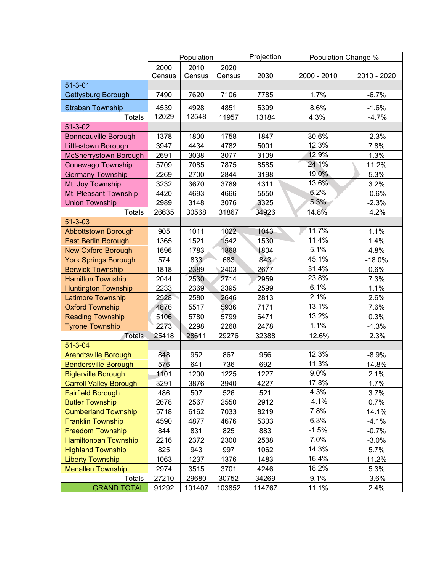|                               | Population |        | Projection | Population Change % |             |             |
|-------------------------------|------------|--------|------------|---------------------|-------------|-------------|
|                               | 2000       | 2010   | 2020       |                     |             |             |
|                               | Census     | Census | Census     | 2030                | 2000 - 2010 | 2010 - 2020 |
| $51 - 3 - 01$                 |            |        |            |                     |             |             |
| <b>Gettysburg Borough</b>     | 7490       | 7620   | 7106       | 7785                | 1.7%        | $-6.7%$     |
| <b>Straban Township</b>       | 4539       | 4928   | 4851       | 5399                | 8.6%        | $-1.6%$     |
| <b>Totals</b>                 | 12029      | 12548  | 11957      | 13184               | 4.3%        | $-4.7%$     |
| $51 - 3 - 02$                 |            |        |            |                     |             |             |
| <b>Bonneauville Borough</b>   | 1378       | 1800   | 1758       | 1847                | 30.6%       | $-2.3%$     |
| <b>Littlestown Borough</b>    | 3947       | 4434   | 4782       | 5001                | 12.3%       | 7.8%        |
| McSherrystown Borough         | 2691       | 3038   | 3077       | 3109                | 12.9%       | 1.3%        |
| Conewago Township             | 5709       | 7085   | 7875       | 8585                | 24.1%       | 11.2%       |
| <b>Germany Township</b>       | 2269       | 2700   | 2844       | 3198                | 19.0%       | 5.3%        |
| Mt. Joy Township              | 3232       | 3670   | 3789       | 4311                | 13.6%       | 3.2%        |
| Mt. Pleasant Township         | 4420       | 4693   | 4666       | 5550                | 6.2%        | $-0.6%$     |
| <b>Union Township</b>         | 2989       | 3148   | 3076       | 3325                | 5.3%        | $-2.3%$     |
| <b>Totals</b>                 | 26635      | 30568  | 31867      | 34926               | 14.8%       | 4.2%        |
| $51 - 3 - 03$                 |            |        |            |                     |             |             |
| <b>Abbottstown Borough</b>    | 905        | 1011   | 1022       | 1043                | 11.7%       | 1.1%        |
| <b>East Berlin Borough</b>    | 1365       | 1521   | 1542       | 1530                | 11.4%<br>D. | 1.4%        |
| <b>New Oxford Borough</b>     | 1696       | 1783   | 1868       | 1804                | 5.1%        | 4.8%        |
| <b>York Springs Borough</b>   | 574        | 833    | 683        | 843                 | 45.1%       | $-18.0%$    |
| <b>Berwick Township</b>       | 1818       | 2389   | 2403       | 2677                | 31.4%       | 0.6%        |
| <b>Hamilton Township</b>      | 2044       | 2530   | 2714       | 2959                | 23.8%       | 7.3%        |
| <b>Huntington Township</b>    | 2233       | 2369   | 2395       | 2599                | 6.1%        | 1.1%        |
| Latimore Township             | 2528       | 2580   | 2646       | 2813                | 2.1%        | 2.6%        |
| <b>Oxford Township</b>        | 4876       | 5517   | 5936       | 7171                | 13.1%       | 7.6%        |
| <b>Reading Township</b>       | 5106       | 5780   | 5799       | 6471                | 13.2%       | 0.3%        |
| <b>Tyrone Township</b>        | 2273       | 2298   | 2268       | 2478                | 1.1%        | $-1.3%$     |
| Totals                        | 25418      | 28611  | 29276      | 32388               | 12.6%       | 2.3%        |
| $51 - 3 - 04$                 |            |        |            |                     |             |             |
| <b>Arendtsville Borough</b>   | 848        | 952    | 867        | 956                 | 12.3%       | $-8.9%$     |
| <b>Bendersville Borough</b>   | 576        | 641    | 736        | 692                 | 11.3%       | 14.8%       |
| <b>Biglerville Borough</b>    | 1101       | 1200   | 1225       | 1227                | 9.0%        | 2.1%        |
| <b>Carroll Valley Borough</b> | 3291       | 3876   | 3940       | 4227                | 17.8%       | 1.7%        |
| <b>Fairfield Borough</b>      | 486        | 507    | 526        | 521                 | 4.3%        | 3.7%        |
| <b>Butler Township</b>        | 2678       | 2567   | 2550       | 2912                | $-4.1%$     | 0.7%        |
| <b>Cumberland Township</b>    | 5718       | 6162   | 7033       | 8219                | 7.8%        | 14.1%       |
| <b>Franklin Township</b>      | 4590       | 4877   | 4676       | 5303                | 6.3%        | $-4.1%$     |
| <b>Freedom Township</b>       | 844        | 831    | 825        | 883                 | $-1.5%$     | $-0.7%$     |
| <b>Hamiltonban Township</b>   | 2216       | 2372   | 2300       | 2538                | 7.0%        | $-3.0%$     |
| <b>Highland Township</b>      | 825        | 943    | 997        | 1062                | 14.3%       | 5.7%        |
| <b>Liberty Township</b>       | 1063       | 1237   | 1376       | 1483                | 16.4%       | 11.2%       |
| <b>Menallen Township</b>      | 2974       | 3515   | 3701       | 4246                | 18.2%       | 5.3%        |
| <b>Totals</b>                 | 27210      | 29680  | 30752      | 34269               | 9.1%        | 3.6%        |
| <b>GRAND TOTAL</b>            | 91292      | 101407 | 103852     | 114767              | 11.1%       | 2.4%        |